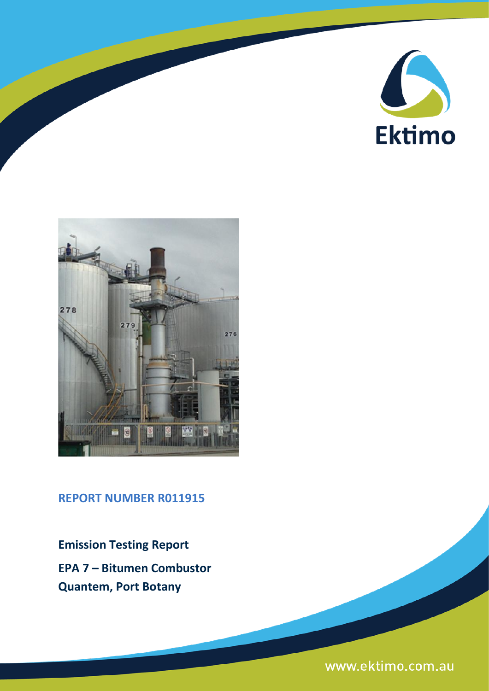



**REPORT NUMBER R011915**

**Emission Testing Report EPA 7 – Bitumen Combustor Quantem, Port Botany**

www.ektimo.com.au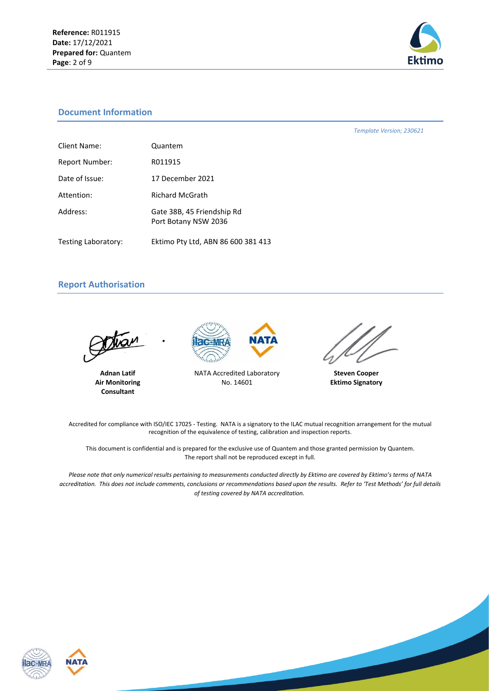

*Template Version; 230621*

### **Document Information**

| Client Name:          | Quantem                                            |
|-----------------------|----------------------------------------------------|
| <b>Report Number:</b> | R011915                                            |
| Date of Issue:        | 17 December 2021                                   |
| Attention:            | <b>Richard McGrath</b>                             |
| Address:              | Gate 38B, 45 Friendship Rd<br>Port Botany NSW 2036 |
| Testing Laboratory:   | Ektimo Pty Ltd, ABN 86 600 381 413                 |

**Report Authorisation**

tian

**Adnan Latif Air Monitoring Consultant**



NATA Accredited Laboratory No. 14601



**Steven Cooper Ektimo Signatory**

Accredited for compliance with ISO/IEC 17025 - Testing. NATA is a signatory to the ILAC mutual recognition arrangement for the mutual recognition of the equivalence of testing, calibration and inspection reports.

This document is confidential and is prepared for the exclusive use of Quantem and those granted permission by Quantem. The report shall not be reproduced except in full.

*Please note that only numerical results pertaining to measurements conducted directly by Ektimo are covered by Ektimo's terms of NATA accreditation. This does not include comments, conclusions or recommendations based upon the results. Refer to 'Test Methods' for full details of testing covered by NATA accreditation.*



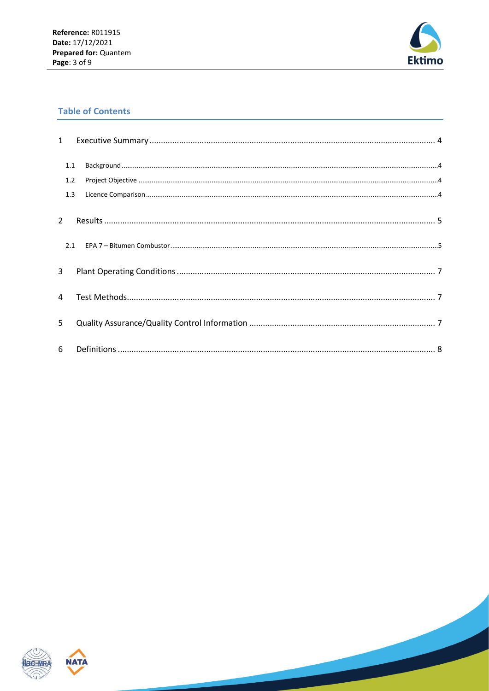

# **Table of Contents**

| $\mathbf{1}$   |     |                                                                                                                                                                                                                                                                                                                                                                                                                                    |  |
|----------------|-----|------------------------------------------------------------------------------------------------------------------------------------------------------------------------------------------------------------------------------------------------------------------------------------------------------------------------------------------------------------------------------------------------------------------------------------|--|
|                | 1.1 | ${\sf Background} \, \, \ldots \, \, \ldots \, \, \ldots \, \, \ldots \, \, \ldots \, \, \ldots \, \, \ldots \, \, \ldots \, \, \ldots \, \, \ldots \, \, \ldots \, \, \ldots \, \, \ldots \, \, \ldots \, \, \ldots \, \, \ldots \, \, \ldots \, \, \ldots \, \, \ldots \, \, \ldots \, \, \ldots \, \, \ldots \, \, \ldots \, \, \ldots \, \, \ldots \, \, \ldots \, \, \ldots \, \, \ldots \, \, \ldots \, \, \ldots \, \, \ld$ |  |
|                | 1.2 |                                                                                                                                                                                                                                                                                                                                                                                                                                    |  |
|                | 1.3 |                                                                                                                                                                                                                                                                                                                                                                                                                                    |  |
| $\overline{2}$ |     |                                                                                                                                                                                                                                                                                                                                                                                                                                    |  |
|                | 2.1 |                                                                                                                                                                                                                                                                                                                                                                                                                                    |  |
| 3              |     |                                                                                                                                                                                                                                                                                                                                                                                                                                    |  |
| $\overline{4}$ |     |                                                                                                                                                                                                                                                                                                                                                                                                                                    |  |
| 5              |     |                                                                                                                                                                                                                                                                                                                                                                                                                                    |  |
| 6              |     |                                                                                                                                                                                                                                                                                                                                                                                                                                    |  |



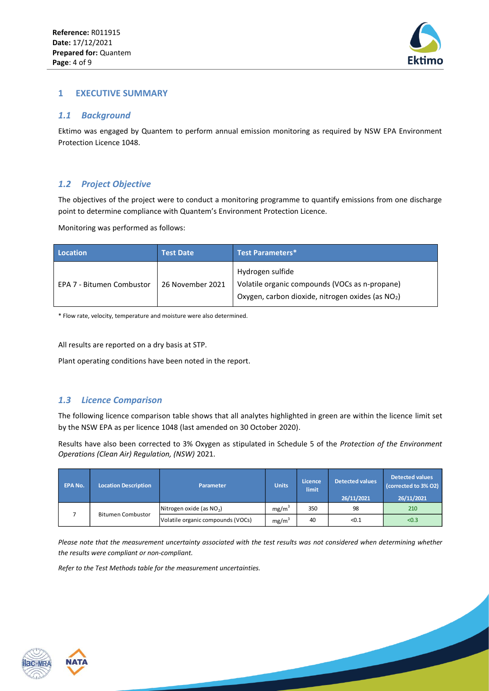

### <span id="page-3-0"></span>**1 EXECUTIVE SUMMARY**

### <span id="page-3-1"></span>*1.1 Background*

Ektimo was engaged by Quantem to perform annual emission monitoring as required by NSW EPA Environment Protection Licence 1048.

## <span id="page-3-2"></span>*1.2 Project Objective*

The objectives of the project were to conduct a monitoring programme to quantify emissions from one discharge point to determine compliance with Quantem's Environment Protection Licence.

Monitoring was performed as follows:

| <b>Location</b>           | <b>Test Date</b> | <b>Test Parameters*</b>                                                                                                             |  |  |
|---------------------------|------------------|-------------------------------------------------------------------------------------------------------------------------------------|--|--|
| EPA 7 - Bitumen Combustor | 26 November 2021 | Hydrogen sulfide<br>Volatile organic compounds (VOCs as n-propane)<br>Oxygen, carbon dioxide, nitrogen oxides (as NO <sub>2</sub> ) |  |  |

\* Flow rate, velocity, temperature and moisture were also determined.

All results are reported on a dry basis at STP.

Plant operating conditions have been noted in the report.

## <span id="page-3-3"></span>*1.3 Licence Comparison*

The following licence comparison table shows that all analytes highlighted in green are within the licence limit set by the NSW EPA as per licence 1048 (last amended on 30 October 2020).

Results have also been corrected to 3% Oxygen as stipulated in Schedule 5 of the *Protection of the Environment Operations (Clean Air) Regulation, (NSW)* 2021.

| <b>EPA No.</b> | <b>Location Description</b> | Parameter                         | <b>Units</b>      | Licence<br><b>limit</b> | <b>Detected values</b><br>26/11/2021 | <b>Detected values</b><br>(corrected to 3% O2)<br>26/11/2021 |
|----------------|-----------------------------|-----------------------------------|-------------------|-------------------------|--------------------------------------|--------------------------------------------------------------|
|                |                             | Nitrogen oxide (as $NO2$ )        | mg/m <sup>3</sup> | 350                     | 98                                   | 210                                                          |
|                | <b>Bitumen Combustor</b>    | Volatile organic compounds (VOCs) | mg/m <sup>3</sup> | 40                      | < 0.1                                | < 0.3                                                        |

*Please note that the measurement uncertainty associated with the test results was not considered when determining whether the results were compliant or non-compliant.* 

*Refer to the Test Methods table for the measurement uncertainties.*



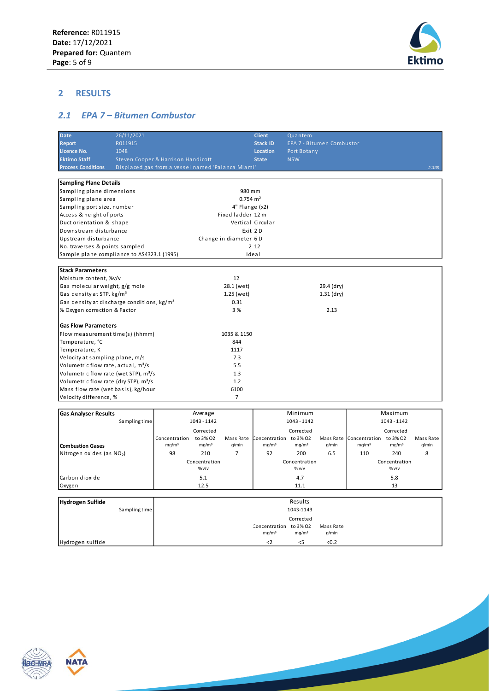

# <span id="page-4-0"></span>**2 RESULTS**

# <span id="page-4-1"></span>*2.1 EPA 7 – Bitumen Combustor*

| <b>Date</b>                                            | 26/11/2021                                        |                        |                   |                       | <b>Client</b>          | Quantem                   |            |                                  |                   |           |
|--------------------------------------------------------|---------------------------------------------------|------------------------|-------------------|-----------------------|------------------------|---------------------------|------------|----------------------------------|-------------------|-----------|
| <b>Report</b>                                          | R011915                                           |                        |                   |                       | <b>Stack ID</b>        | EPA 7 - Bitumen Combustor |            |                                  |                   |           |
| <b>Licence No.</b>                                     | 1048                                              |                        |                   |                       | <b>Location</b>        | Port Botany               |            |                                  |                   |           |
| <b>Ektimo Staff</b>                                    | Steven Cooper & Harrison Handicott                |                        |                   |                       | <b>State</b>           | <b>NSW</b>                |            |                                  |                   |           |
| <b>Process Conditions</b>                              | Displaced gas from a vessel named 'Palanca Miami' |                        |                   |                       |                        |                           |            |                                  |                   | 2 11115   |
|                                                        |                                                   |                        |                   |                       |                        |                           |            |                                  |                   |           |
| <b>Sampling Plane Details</b>                          |                                                   |                        |                   |                       |                        |                           |            |                                  |                   |           |
| Sampling plane dimensions                              |                                                   |                        |                   | 980 mm                |                        |                           |            |                                  |                   |           |
| Sampling plane area                                    |                                                   |                        |                   | $0.754 \text{ m}^2$   |                        |                           |            |                                  |                   |           |
| Sampling port size, number                             |                                                   |                        |                   | 4" Flange (x2)        |                        |                           |            |                                  |                   |           |
| Access & height of ports                               |                                                   |                        |                   | Fixed ladder 12 m     |                        |                           |            |                                  |                   |           |
| Duct orientation & shape                               |                                                   |                        |                   |                       | Vertical Circular      |                           |            |                                  |                   |           |
| Downstream disturbance                                 |                                                   |                        |                   | Exit 2D               |                        |                           |            |                                  |                   |           |
| Upstream disturbance                                   |                                                   |                        |                   | Change in diameter 6D |                        |                           |            |                                  |                   |           |
| No. traverses & points sampled                         |                                                   |                        |                   |                       | 2 1 2                  |                           |            |                                  |                   |           |
| Sample plane compliance to AS4323.1 (1995)             |                                                   |                        |                   |                       | Ideal                  |                           |            |                                  |                   |           |
|                                                        |                                                   |                        |                   |                       |                        |                           |            |                                  |                   |           |
| <b>Stack Parameters</b>                                |                                                   |                        |                   |                       |                        |                           |            |                                  |                   |           |
| Moisture content, %v/v                                 |                                                   |                        |                   | 12                    |                        |                           |            |                                  |                   |           |
| Gas molecular weight, g/g mole                         |                                                   |                        |                   | 28.1 (wet)            |                        |                           | 29.4 (dry) |                                  |                   |           |
| Gas density at STP, kg/m <sup>3</sup>                  |                                                   |                        |                   | 1.25 (wet)            |                        |                           | 1.31 (dry) |                                  |                   |           |
| Gas density at discharge conditions, kg/m <sup>3</sup> |                                                   |                        |                   | 0.31                  |                        |                           |            |                                  |                   |           |
| % Oxygen correction & Factor                           |                                                   |                        |                   | 3 %                   |                        |                           | 2.13       |                                  |                   |           |
|                                                        |                                                   |                        |                   |                       |                        |                           |            |                                  |                   |           |
| <b>Gas Flow Parameters</b>                             |                                                   |                        |                   |                       |                        |                           |            |                                  |                   |           |
| Flow measurement time(s) (hhmm)                        |                                                   |                        |                   | 1035 & 1150           |                        |                           |            |                                  |                   |           |
| Temperature, °C                                        |                                                   |                        |                   | 844                   |                        |                           |            |                                  |                   |           |
| Temperature, K                                         |                                                   |                        |                   | 1117                  |                        |                           |            |                                  |                   |           |
| Velocity at sampling plane, m/s                        |                                                   |                        |                   | 7.3                   |                        |                           |            |                                  |                   |           |
| Volumetric flow rate, actual, m <sup>3</sup> /s        |                                                   |                        |                   | 5.5                   |                        |                           |            |                                  |                   |           |
| Volumetric flow rate (wet STP), m <sup>3</sup> /s      |                                                   |                        |                   | 1.3                   |                        |                           |            |                                  |                   |           |
| Volumetric flow rate (dry STP), m <sup>3</sup> /s      |                                                   |                        |                   | 1.2                   |                        |                           |            |                                  |                   |           |
| Mass flow rate (wet basis), kg/hour                    |                                                   |                        |                   | 6100                  |                        |                           |            |                                  |                   |           |
| Velocity difference, %                                 |                                                   |                        |                   | $\overline{7}$        |                        |                           |            |                                  |                   |           |
|                                                        |                                                   |                        |                   |                       |                        |                           |            |                                  |                   |           |
| <b>Gas Analyser Results</b>                            |                                                   |                        | Average           |                       |                        | Minimum                   |            |                                  | Maximum           |           |
|                                                        | Sampling time                                     |                        | 1043 - 1142       |                       |                        | 1043 - 1142               |            |                                  | 1043-1142         |           |
|                                                        |                                                   |                        | Corrected         |                       |                        | Corrected                 |            |                                  | Corrected         |           |
|                                                        |                                                   | Concentration to 3% O2 |                   | Mass Rate             | Concentration to 3% O2 |                           |            | Mass Rate Concentration to 3% O2 |                   | Mass Rate |
| <b>Combustion Gases</b>                                |                                                   | mg/m <sup>3</sup>      | mg/m <sup>3</sup> | q/min                 | mg/m <sup>3</sup>      | mg/m <sup>3</sup>         | g/min      | mg/m <sup>3</sup>                | mg/m <sup>3</sup> | g/min     |
| Nitrogen oxides (as NO2)                               |                                                   | 98                     | 210               | $\overline{7}$        | 92                     | 200                       | 6.5        | 110                              | 240               | 8         |
|                                                        |                                                   |                        | Concentration     |                       |                        | Concentration             |            |                                  | Concentration     |           |

Mass Rate

% v/v 5.8 13

mg/m $^3$  g/min

% v/v 4.7 11.1

Corrected

Results 1043-1143

 $mg/m<sup>3</sup>$ <2

Concentration to 3% O2





Carbon dioxide Oxygen

**Hydrogen Sulfide**

Sampling time

Hydrogen sulfide  $\left\vert \frac{1}{2} \right\vert$   $\left\vert \frac{1}{2} \right\vert$   $\left\vert \frac{1}{2} \right\vert$   $\left\vert \frac{1}{2} \right\vert$   $\left\vert \frac{1}{2} \right\vert$   $\left\vert \frac{1}{2} \right\vert$   $\left\vert \frac{1}{2} \right\vert$   $\left\vert \frac{1}{2} \right\vert$   $\left\vert \frac{1}{2} \right\vert$   $\left\vert \frac{1}{2} \right\vert$   $\left\vert \frac{1}{2} \right\vert$   $\left\vert \frac$ 

% v/v 5.1 12.5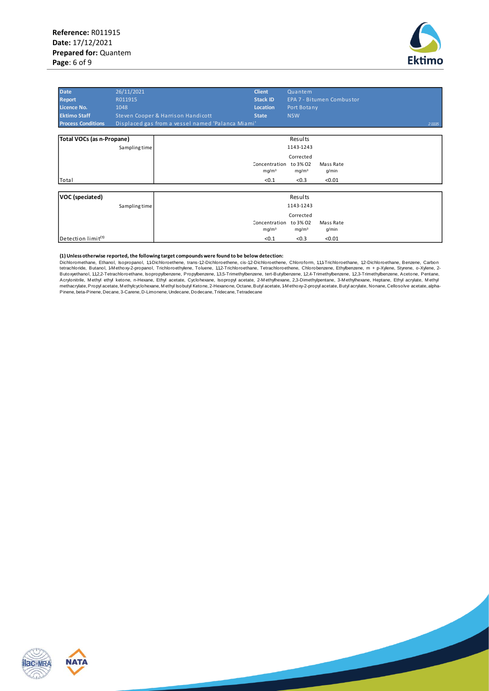

| <b>Date</b><br><b>Report</b><br>Licence No.<br><b>Ektimo Staff</b> | 26/11/2021<br>R011915<br>1048 | Steven Cooper & Harrison Handicott                | <b>Client</b><br><b>Stack ID</b><br>Location<br><b>State</b> | Quantem<br>Port Botany<br><b>NSW</b>                | EPA 7 - Bitumen Combustor    |         |
|--------------------------------------------------------------------|-------------------------------|---------------------------------------------------|--------------------------------------------------------------|-----------------------------------------------------|------------------------------|---------|
| <b>Process Conditions</b>                                          |                               | Displaced gas from a vessel named 'Palanca Miami' |                                                              |                                                     |                              | 2 11115 |
| Total VOCs (as n-Propane)                                          | Sampling time                 |                                                   |                                                              | Results<br>1143-1243                                |                              |         |
|                                                                    |                               |                                                   | Concentration<br>mg/m <sup>3</sup>                           | Corrected<br>to 3% 02<br>mg/m <sup>3</sup>          | Mass Rate<br>g/min           |         |
| Total                                                              |                               |                                                   | < 0.1                                                        | < 0.3                                               | < 0.01                       |         |
| VOC (speciated)                                                    | Sampling time                 |                                                   |                                                              | Results<br>1143-1243                                |                              |         |
| Detection limit <sup>(1)</sup>                                     |                               |                                                   | Concentration<br>mg/m <sup>3</sup><br>< 0.1                  | Corrected<br>to 3% 02<br>mg/m <sup>3</sup><br>< 0.3 | Mass Rate<br>g/min<br>< 0.01 |         |

#### **(1) Unless otherwise reported, the following target compounds were found to be below detection:**

Dichloromethane, Ethanol, Isopropanol, 1,1-Dichloroethene, trans-1,2-Dichloroethene, cis-1,2-Dichloroethene, Chloroform, 1,1,1-Trichloroethane, 1,2-Dichloroethane, Benzene, Carbon tetrachloride, Butanol, 1-Methoxy-2-propanol, Trichloroethylene, Toluene, 1,12-Trichloroethane, Tetrachloroethene, Chlorobenzene, Ethylbenzene, m + p-Xylene, Styrene, o-Xylene, 2-<br>Butoxyethanol, 1,12,2-Tetrachloroethane, I Acrylonitrile, Methyl ethyl ketone, n-Hexane, Ethyl acetate, Cyclohexane, Isopropyl acetate, 2-Methylhexane, 2,3-Dimethylpentane, 3-Methylhexane, Heptane, Ethyl acrylate, Methyl<br>methacrylate,Propyl acetate,Methylcyclohexan



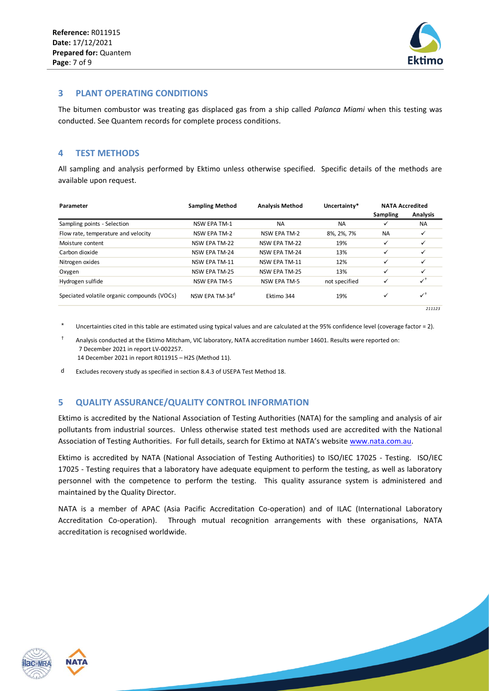

### <span id="page-6-0"></span>**3 PLANT OPERATING CONDITIONS**

The bitumen combustor was treating gas displaced gas from a ship called *Palanca Miami* when this testing was conducted. See Quantem records for complete process conditions.

### <span id="page-6-1"></span>**4 TEST METHODS**

All sampling and analysis performed by Ektimo unless otherwise specified. Specific details of the methods are available upon request.

| Parameter                                   | <b>Sampling Method</b>     | <b>Analysis Method</b> | Uncertainty*  | <b>NATA Accredited</b> |                 |
|---------------------------------------------|----------------------------|------------------------|---------------|------------------------|-----------------|
|                                             |                            |                        |               | Sampling               | <b>Analysis</b> |
| Sampling points - Selection                 | <b>NSW EPA TM-1</b>        | <b>NA</b>              | <b>NA</b>     | ✓                      | <b>NA</b>       |
| Flow rate, temperature and velocity         | NSW EPA TM-2               | NSW EPA TM-2           | 8%, 2%, 7%    | <b>NA</b>              | ✓               |
| Moisture content                            | NSW EPA TM-22              | NSW EPA TM-22          | 19%           | ✓                      |                 |
| Carbon dioxide                              | <b>NSW EPA TM-24</b>       | <b>NSW EPA TM-24</b>   | 13%           | ✓                      | ✓               |
| Nitrogen oxides                             | NSW EPA TM-11              | <b>NSW EPA TM-11</b>   | 12%           | ✓                      | ✓               |
| Oxygen                                      | NSW EPA TM-25              | <b>NSW EPA TM-25</b>   | 13%           | ✓                      | ✓               |
| Hydrogen sulfide                            | <b>NSW EPA TM-5</b>        | <b>NSW EPA TM-5</b>    | not specified | ✓                      | $\checkmark$    |
| Speciated volatile organic compounds (VOCs) | NSW FPA TM-34 <sup>a</sup> | Ektimo 344             | 19%           | ✓                      | $\checkmark$    |
|                                             |                            |                        |               |                        | 211123          |

Uncertainties cited in this table are estimated using typical values and are calculated at the 95% confidence level (coverage factor = 2).

† Analysis conducted at the Ektimo Mitcham, VIC laboratory, NATA accreditation number 14601. Results were reported on: 7 December 2021 in report LV-002257. 14 December 2021 in report R011915 – H2S (Method 11).

<span id="page-6-2"></span>d Excludes recovery study as specified in section 8.4.3 of USEPA Test Method 18.

### **5 QUALITY ASSURANCE/QUALITY CONTROL INFORMATION**

Ektimo is accredited by the National Association of Testing Authorities (NATA) for the sampling and analysis of air pollutants from industrial sources. Unless otherwise stated test methods used are accredited with the National Association of Testing Authorities. For full details, search for Ektimo at NATA's website [www.nata.com.au.](http://www.nata.com.au/)

Ektimo is accredited by NATA (National Association of Testing Authorities) to ISO/IEC 17025 - Testing. ISO/IEC 17025 - Testing requires that a laboratory have adequate equipment to perform the testing, as well as laboratory personnel with the competence to perform the testing. This quality assurance system is administered and maintained by the Quality Director.

NATA is a member of APAC (Asia Pacific Accreditation Co-operation) and of ILAC (International Laboratory Accreditation Co-operation). Through mutual recognition arrangements with these organisations, NATA accreditation is recognised worldwide.



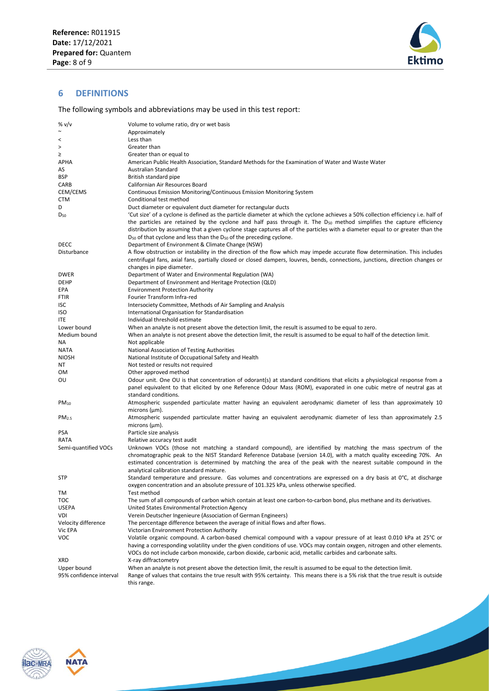

### <span id="page-7-0"></span>**6 DEFINITIONS**

The following symbols and abbreviations may be used in this test report:

| % v/v                   | Volume to volume ratio, dry or wet basis                                                                                           |
|-------------------------|------------------------------------------------------------------------------------------------------------------------------------|
| $\sim$                  | Approximately                                                                                                                      |
| $\,<\,$                 | Less than                                                                                                                          |
| $\, >$                  | Greater than                                                                                                                       |
| ≥                       | Greater than or equal to                                                                                                           |
| APHA                    | American Public Health Association, Standard Methods for the Examination of Water and Waste Water                                  |
| AS                      | Australian Standard                                                                                                                |
| <b>BSP</b>              | British standard pipe                                                                                                              |
| CARB                    | Californian Air Resources Board                                                                                                    |
| CEM/CEMS                | Continuous Emission Monitoring/Continuous Emission Monitoring System                                                               |
| CTM                     | Conditional test method                                                                                                            |
| D                       | Duct diameter or equivalent duct diameter for rectangular ducts                                                                    |
| $D_{50}$                | 'Cut size' of a cyclone is defined as the particle diameter at which the cyclone achieves a 50% collection efficiency i.e. half of |
|                         | the particles are retained by the cyclone and half pass through it. The D <sub>50</sub> method simplifies the capture efficiency   |
|                         | distribution by assuming that a given cyclone stage captures all of the particles with a diameter equal to or greater than the     |
|                         | D <sub>50</sub> of that cyclone and less than the D <sub>50</sub> of the preceding cyclone.                                        |
| <b>DECC</b>             | Department of Environment & Climate Change (NSW)                                                                                   |
| Disturbance             | A flow obstruction or instability in the direction of the flow which may impede accurate flow determination. This includes         |
|                         | centrifugal fans, axial fans, partially closed or closed dampers, louvres, bends, connections, junctions, direction changes or     |
|                         | changes in pipe diameter.                                                                                                          |
| <b>DWER</b>             | Department of Water and Environmental Regulation (WA)                                                                              |
| <b>DEHP</b>             | Department of Environment and Heritage Protection (QLD)                                                                            |
| EPA                     | <b>Environment Protection Authority</b>                                                                                            |
| <b>FTIR</b>             | Fourier Transform Infra-red                                                                                                        |
| ISC                     | Intersociety Committee, Methods of Air Sampling and Analysis                                                                       |
| <b>ISO</b>              | International Organisation for Standardisation                                                                                     |
| <b>ITE</b>              | Individual threshold estimate                                                                                                      |
| Lower bound             | When an analyte is not present above the detection limit, the result is assumed to be equal to zero.                               |
| Medium bound            | When an analyte is not present above the detection limit, the result is assumed to be equal to half of the detection limit.        |
| NA.                     | Not applicable                                                                                                                     |
| <b>NATA</b>             | National Association of Testing Authorities                                                                                        |
| <b>NIOSH</b>            | National Institute of Occupational Safety and Health                                                                               |
| ΝT                      | Not tested or results not required                                                                                                 |
| ОM                      | Other approved method                                                                                                              |
| ου                      | Odour unit. One OU is that concentration of odorant(s) at standard conditions that elicits a physiological response from a         |
|                         | panel equivalent to that elicited by one Reference Odour Mass (ROM), evaporated in one cubic metre of neutral gas at               |
|                         | standard conditions.                                                                                                               |
| $PM_{10}$               | Atmospheric suspended particulate matter having an equivalent aerodynamic diameter of less than approximately 10                   |
|                         | microns $(\mu m)$ .                                                                                                                |
| PM <sub>2.5</sub>       | Atmospheric suspended particulate matter having an equivalent aerodynamic diameter of less than approximately 2.5                  |
|                         | microns $(\mu m)$ .                                                                                                                |
| <b>PSA</b>              | Particle size analysis                                                                                                             |
| RATA                    | Relative accuracy test audit                                                                                                       |
| Semi-quantified VOCs    | Unknown VOCs (those not matching a standard compound), are identified by matching the mass spectrum of the                         |
|                         | chromatographic peak to the NIST Standard Reference Database (version 14.0), with a match quality exceeding 70%. An                |
|                         | estimated concentration is determined by matching the area of the peak with the nearest suitable compound in the                   |
|                         | analytical calibration standard mixture.                                                                                           |
| <b>STP</b>              | Standard temperature and pressure. Gas volumes and concentrations are expressed on a dry basis at 0°C, at discharge                |
|                         | oxygen concentration and an absolute pressure of 101.325 kPa, unless otherwise specified.                                          |
| TM                      | Test method                                                                                                                        |
| TOC                     | The sum of all compounds of carbon which contain at least one carbon-to-carbon bond, plus methane and its derivatives.             |
| <b>USEPA</b>            | United States Environmental Protection Agency                                                                                      |
| VDI                     | Verein Deutscher Ingenieure (Association of German Engineers)                                                                      |
| Velocity difference     | The percentage difference between the average of initial flows and after flows.                                                    |
| Vic EPA                 | Victorian Environment Protection Authority                                                                                         |
| <b>VOC</b>              | Volatile organic compound. A carbon-based chemical compound with a vapour pressure of at least 0.010 kPa at 25°C or                |
|                         | having a corresponding volatility under the given conditions of use. VOCs may contain oxygen, nitrogen and other elements.         |
|                         | VOCs do not include carbon monoxide, carbon dioxide, carbonic acid, metallic carbides and carbonate salts.                         |
| XRD                     | X-ray diffractometry                                                                                                               |
| Upper bound             | When an analyte is not present above the detection limit, the result is assumed to be equal to the detection limit.                |
| 95% confidence interval | Range of values that contains the true result with 95% certainty. This means there is a 5% risk that the true result is outside    |
|                         | this range.                                                                                                                        |